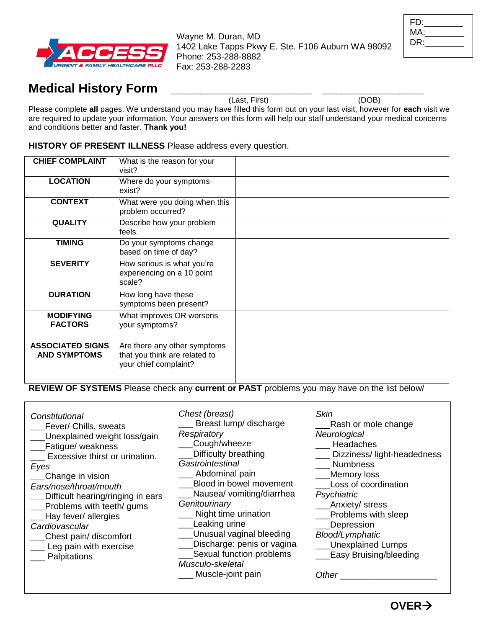

| FD: I |  |
|-------|--|
| MA:   |  |
| DR: I |  |
|       |  |

# **Medical History Form**

(Last, First) (DOB)

Please complete **all** pages. We understand you may have filled this form out on your last visit, however for **each** visit we are required to update your information. Your answers on this form will help our staff understand your medical concerns and conditions better and faster. **Thank you!**

## **HISTORY OF PRESENT ILLNESS** Please address every question.

| <b>CHIEF COMPLAINT</b>                         | What is the reason for your<br>visit?                                                  |  |
|------------------------------------------------|----------------------------------------------------------------------------------------|--|
| <b>LOCATION</b>                                | Where do your symptoms<br>exist?                                                       |  |
| <b>CONTEXT</b>                                 | What were you doing when this<br>problem occurred?                                     |  |
| <b>QUALITY</b>                                 | Describe how your problem<br>feels.                                                    |  |
| <b>TIMING</b>                                  | Do your symptoms change<br>based on time of day?                                       |  |
| <b>SEVERITY</b>                                | How serious is what you're<br>experiencing on a 10 point<br>scale?                     |  |
| <b>DURATION</b>                                | How long have these<br>symptoms been present?                                          |  |
| <b>MODIFYING</b><br><b>FACTORS</b>             | What improves OR worsens<br>your symptoms?                                             |  |
| <b>ASSOCIATED SIGNS</b><br><b>AND SYMPTOMS</b> | Are there any other symptoms<br>that you think are related to<br>your chief complaint? |  |

**REVIEW OF SYSTEMS** Please check any **current or PAST** problems you may have on the list below/

| Constitutional<br>Fever/ Chills, sweats<br>Unexplained weight loss/gain<br>Fatigue/ weakness<br>Excessive thirst or urination.<br>Eyes<br>Change in vision<br>Ears/nose/throat/mouth<br>Difficult hearing/ringing in ears<br>Problems with teeth/ gums<br>Hay fever/ allergies<br>Cardiovascular<br>Chest pain/ discomfort<br>Leg pain with exercise<br>Palpitations | Chest (breast)<br>Breast lump/ discharge<br>Respiratory<br>Cough/wheeze<br>Difficulty breathing<br>Gastrointestinal<br>Abdominal pain<br>Blood in bowel movement<br>Nausea/ vomiting/diarrhea<br>Genitourinary<br>Night time urination<br>Leaking urine<br>Unusual vaginal bleeding<br>Discharge: penis or vagina<br>Sexual function problems<br>Musculo-skeletal<br>Muscle-joint pain | Skin<br>Rash or mole change<br>Neurological<br>Headaches<br>Dizziness/light-headedness<br><b>Numbness</b><br>Memory loss<br>Loss of coordination<br>Psychiatric<br><b>Anxiety/</b> stress<br>Problems with sleep<br>Depression<br>Blood/Lymphatic<br><b>Unexplained Lumps</b><br><b>Easy Bruising/bleeding</b><br>Other |
|----------------------------------------------------------------------------------------------------------------------------------------------------------------------------------------------------------------------------------------------------------------------------------------------------------------------------------------------------------------------|----------------------------------------------------------------------------------------------------------------------------------------------------------------------------------------------------------------------------------------------------------------------------------------------------------------------------------------------------------------------------------------|-------------------------------------------------------------------------------------------------------------------------------------------------------------------------------------------------------------------------------------------------------------------------------------------------------------------------|
|----------------------------------------------------------------------------------------------------------------------------------------------------------------------------------------------------------------------------------------------------------------------------------------------------------------------------------------------------------------------|----------------------------------------------------------------------------------------------------------------------------------------------------------------------------------------------------------------------------------------------------------------------------------------------------------------------------------------------------------------------------------------|-------------------------------------------------------------------------------------------------------------------------------------------------------------------------------------------------------------------------------------------------------------------------------------------------------------------------|